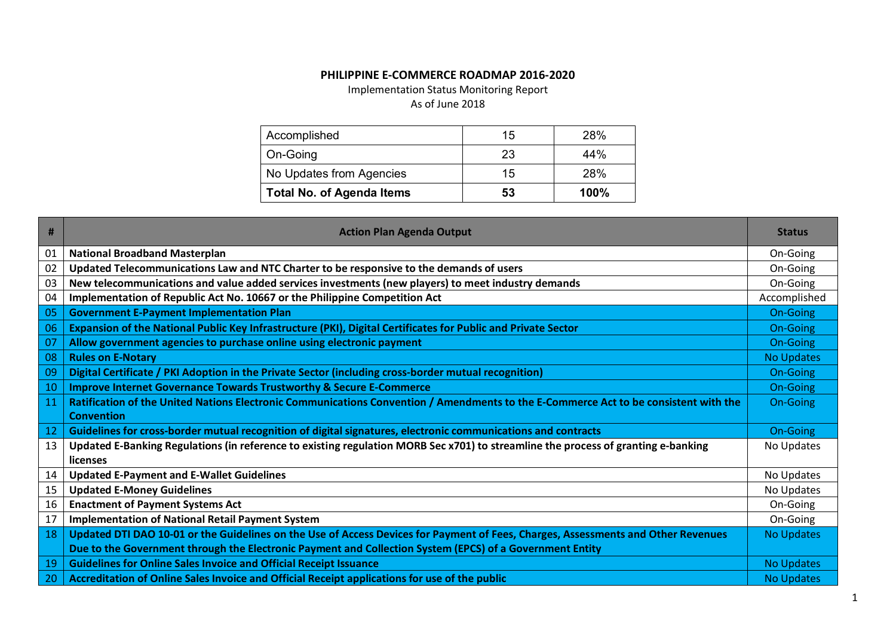## **PHILIPPINE E-COMMERCE ROADMAP 2016-2020**

Implementation Status Monitoring Report

## As of June 2018

| Accomplished                     | 15 | 28%  |
|----------------------------------|----|------|
| On-Going                         | 23 | 44%  |
| No Updates from Agencies         | 15 | 28%  |
| <b>Total No. of Agenda Items</b> | 53 | 100% |

| #  | <b>Action Plan Agenda Output</b>                                                                                                     | <b>Status</b>     |
|----|--------------------------------------------------------------------------------------------------------------------------------------|-------------------|
| 01 | <b>National Broadband Masterplan</b>                                                                                                 | On-Going          |
| 02 | Updated Telecommunications Law and NTC Charter to be responsive to the demands of users                                              | On-Going          |
| 03 | New telecommunications and value added services investments (new players) to meet industry demands                                   | On-Going          |
| 04 | Implementation of Republic Act No. 10667 or the Philippine Competition Act                                                           | Accomplished      |
| 05 | <b>Government E-Payment Implementation Plan</b>                                                                                      | On-Going          |
| 06 | Expansion of the National Public Key Infrastructure (PKI), Digital Certificates for Public and Private Sector                        | <b>On-Going</b>   |
| 07 | Allow government agencies to purchase online using electronic payment                                                                | <b>On-Going</b>   |
| 08 | <b>Rules on E-Notary</b>                                                                                                             | <b>No Updates</b> |
| 09 | Digital Certificate / PKI Adoption in the Private Sector (including cross-border mutual recognition)                                 | On-Going          |
| 10 | <b>Improve Internet Governance Towards Trustworthy &amp; Secure E-Commerce</b>                                                       | On-Going          |
| 11 | Ratification of the United Nations Electronic Communications Convention / Amendments to the E-Commerce Act to be consistent with the | <b>On-Going</b>   |
|    | <b>Convention</b>                                                                                                                    |                   |
| 12 | Guidelines for cross-border mutual recognition of digital signatures, electronic communications and contracts                        | <b>On-Going</b>   |
| 13 | Updated E-Banking Regulations (in reference to existing regulation MORB Sec x701) to streamline the process of granting e-banking    | No Updates        |
|    | <b>licenses</b>                                                                                                                      |                   |
| 14 | <b>Updated E-Payment and E-Wallet Guidelines</b>                                                                                     | No Updates        |
| 15 | <b>Updated E-Money Guidelines</b>                                                                                                    | No Updates        |
| 16 | <b>Enactment of Payment Systems Act</b>                                                                                              | On-Going          |
| 17 | <b>Implementation of National Retail Payment System</b>                                                                              | On-Going          |
| 18 | Updated DTI DAO 10-01 or the Guidelines on the Use of Access Devices for Payment of Fees, Charges, Assessments and Other Revenues    | <b>No Updates</b> |
|    | Due to the Government through the Electronic Payment and Collection System (EPCS) of a Government Entity                             |                   |
| 19 | <b>Guidelines for Online Sales Invoice and Official Receipt Issuance</b>                                                             | <b>No Updates</b> |
| 20 | Accreditation of Online Sales Invoice and Official Receipt applications for use of the public                                        | <b>No Updates</b> |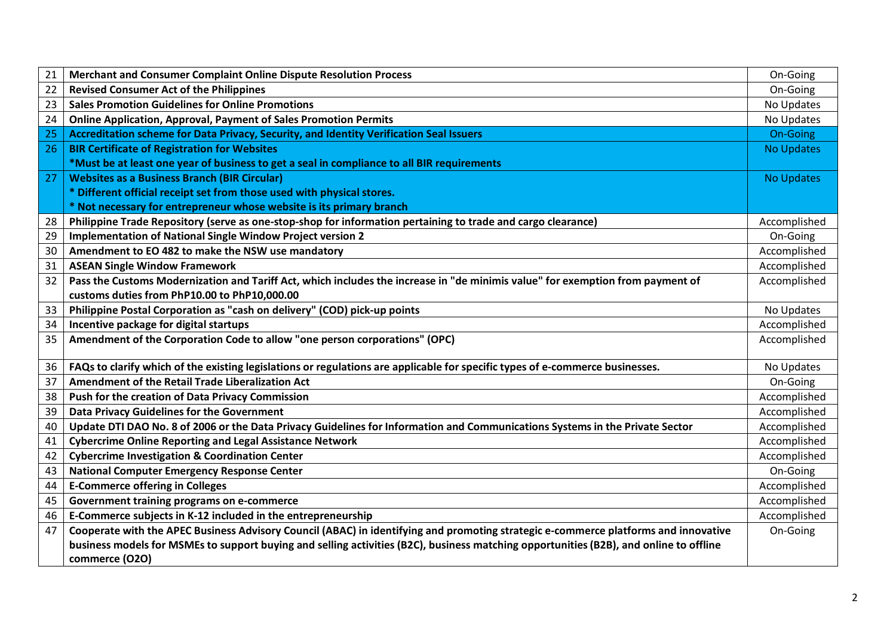| 21 | <b>Merchant and Consumer Complaint Online Dispute Resolution Process</b>                                                               | On-Going          |
|----|----------------------------------------------------------------------------------------------------------------------------------------|-------------------|
| 22 | <b>Revised Consumer Act of the Philippines</b>                                                                                         | On-Going          |
| 23 | <b>Sales Promotion Guidelines for Online Promotions</b>                                                                                | No Updates        |
| 24 | <b>Online Application, Approval, Payment of Sales Promotion Permits</b>                                                                | No Updates        |
| 25 | Accreditation scheme for Data Privacy, Security, and Identity Verification Seal Issuers                                                | <b>On-Going</b>   |
| 26 | <b>BIR Certificate of Registration for Websites</b>                                                                                    | <b>No Updates</b> |
|    | *Must be at least one year of business to get a seal in compliance to all BIR requirements                                             |                   |
| 27 | <b>Websites as a Business Branch (BIR Circular)</b>                                                                                    | <b>No Updates</b> |
|    | * Different official receipt set from those used with physical stores.                                                                 |                   |
|    | * Not necessary for entrepreneur whose website is its primary branch                                                                   |                   |
| 28 | Philippine Trade Repository (serve as one-stop-shop for information pertaining to trade and cargo clearance)                           | Accomplished      |
| 29 | Implementation of National Single Window Project version 2                                                                             | On-Going          |
| 30 | Amendment to EO 482 to make the NSW use mandatory                                                                                      | Accomplished      |
| 31 | <b>ASEAN Single Window Framework</b>                                                                                                   | Accomplished      |
| 32 | Pass the Customs Modernization and Tariff Act, which includes the increase in "de minimis value" for exemption from payment of         | Accomplished      |
|    | customs duties from PhP10.00 to PhP10,000.00                                                                                           |                   |
| 33 | Philippine Postal Corporation as "cash on delivery" (COD) pick-up points                                                               | No Updates        |
| 34 | Incentive package for digital startups                                                                                                 | Accomplished      |
| 35 | Amendment of the Corporation Code to allow "one person corporations" (OPC)                                                             | Accomplished      |
|    |                                                                                                                                        |                   |
| 36 | FAQs to clarify which of the existing legislations or regulations are applicable for specific types of e-commerce businesses.          | No Updates        |
| 37 | Amendment of the Retail Trade Liberalization Act                                                                                       | On-Going          |
| 38 | Push for the creation of Data Privacy Commission                                                                                       | Accomplished      |
| 39 | Data Privacy Guidelines for the Government                                                                                             | Accomplished      |
| 40 | Update DTI DAO No. 8 of 2006 or the Data Privacy Guidelines for Information and Communications Systems in the Private Sector           | Accomplished      |
| 41 | <b>Cybercrime Online Reporting and Legal Assistance Network</b>                                                                        | Accomplished      |
| 42 | <b>Cybercrime Investigation &amp; Coordination Center</b>                                                                              | Accomplished      |
| 43 | <b>National Computer Emergency Response Center</b>                                                                                     | On-Going          |
| 44 | <b>E-Commerce offering in Colleges</b>                                                                                                 | Accomplished      |
| 45 | Government training programs on e-commerce                                                                                             | Accomplished      |
| 46 | E-Commerce subjects in K-12 included in the entrepreneurship                                                                           | Accomplished      |
| 47 | Cooperate with the APEC Business Advisory Council (ABAC) in identifying and promoting strategic e-commerce platforms and innovative    | On-Going          |
|    | business models for MSMEs to support buying and selling activities (B2C), business matching opportunities (B2B), and online to offline |                   |
|    | commerce (O2O)                                                                                                                         |                   |